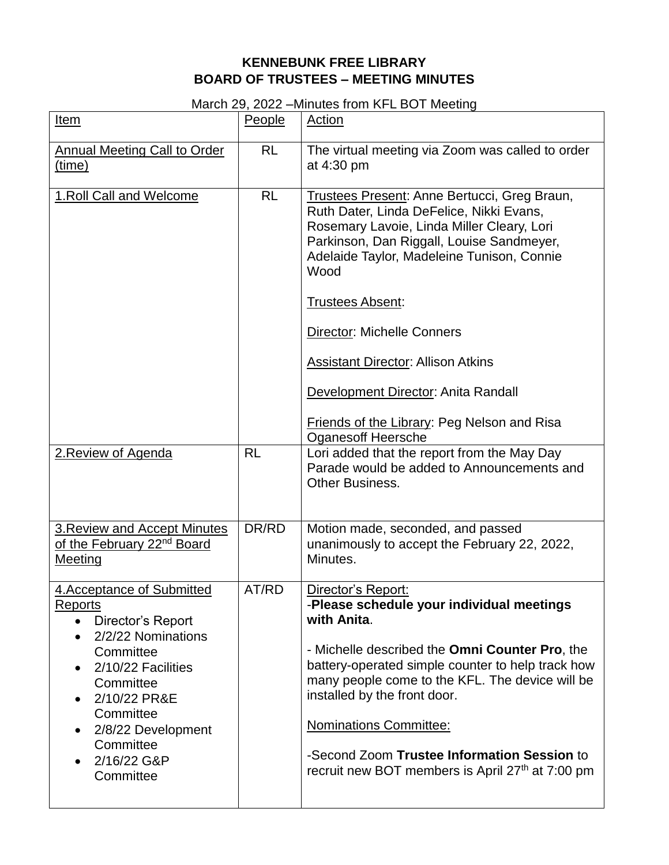## **KENNEBUNK FREE LIBRARY BOARD OF TRUSTEES – MEETING MINUTES**

## March 29, 2022 –Minutes from KFL BOT Meeting

| Item                                                                                                                                                                                                                                               | People    | Action                                                                                                                                                                                                                                                                                                                                                                                                       |
|----------------------------------------------------------------------------------------------------------------------------------------------------------------------------------------------------------------------------------------------------|-----------|--------------------------------------------------------------------------------------------------------------------------------------------------------------------------------------------------------------------------------------------------------------------------------------------------------------------------------------------------------------------------------------------------------------|
| <b>Annual Meeting Call to Order</b><br>(time)                                                                                                                                                                                                      | <b>RL</b> | The virtual meeting via Zoom was called to order<br>at 4:30 pm                                                                                                                                                                                                                                                                                                                                               |
| 1. Roll Call and Welcome                                                                                                                                                                                                                           | <b>RL</b> | <b>Trustees Present: Anne Bertucci, Greg Braun,</b><br>Ruth Dater, Linda DeFelice, Nikki Evans,<br>Rosemary Lavoie, Linda Miller Cleary, Lori<br>Parkinson, Dan Riggall, Louise Sandmeyer,<br>Adelaide Taylor, Madeleine Tunison, Connie<br>Wood<br><b>Trustees Absent:</b><br><b>Director: Michelle Conners</b><br><b>Assistant Director: Allison Atkins</b>                                                |
|                                                                                                                                                                                                                                                    |           | Development Director: Anita Randall<br><b>Friends of the Library: Peg Nelson and Risa</b>                                                                                                                                                                                                                                                                                                                    |
| 2. Review of Agenda                                                                                                                                                                                                                                | <b>RL</b> | <b>Oganesoff Heersche</b><br>Lori added that the report from the May Day<br>Parade would be added to Announcements and<br><b>Other Business.</b>                                                                                                                                                                                                                                                             |
| <b>3. Review and Accept Minutes</b><br>of the February 22 <sup>nd</sup> Board<br>Meeting                                                                                                                                                           | DR/RD     | Motion made, seconded, and passed<br>unanimously to accept the February 22, 2022,<br>Minutes.                                                                                                                                                                                                                                                                                                                |
| 4. Acceptance of Submitted<br><b>Reports</b><br>• Director's Report<br>2/2/22 Nominations<br>$\bullet$<br>Committee<br>2/10/22 Facilities<br>Committee<br>2/10/22 PR&E<br>Committee<br>2/8/22 Development<br>Committee<br>2/16/22 G&P<br>Committee | AT/RD     | Director's Report:<br>-Please schedule your individual meetings<br>with Anita.<br>- Michelle described the Omni Counter Pro, the<br>battery-operated simple counter to help track how<br>many people come to the KFL. The device will be<br>installed by the front door.<br><b>Nominations Committee:</b><br>-Second Zoom Trustee Information Session to<br>recruit new BOT members is April 27th at 7:00 pm |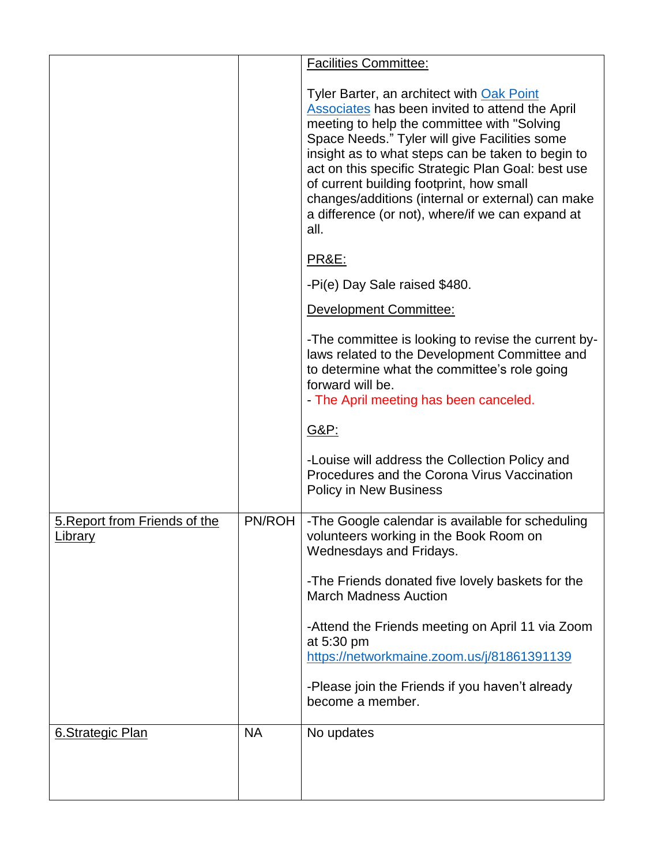|                                          |           | <b>Facilities Committee:</b>                                                                                                                                                                                                                                                                                                                                                                                                                                                 |
|------------------------------------------|-----------|------------------------------------------------------------------------------------------------------------------------------------------------------------------------------------------------------------------------------------------------------------------------------------------------------------------------------------------------------------------------------------------------------------------------------------------------------------------------------|
|                                          |           | Tyler Barter, an architect with Oak Point<br><b>Associates has been invited to attend the April</b><br>meeting to help the committee with "Solving"<br>Space Needs." Tyler will give Facilities some<br>insight as to what steps can be taken to begin to<br>act on this specific Strategic Plan Goal: best use<br>of current building footprint, how small<br>changes/additions (internal or external) can make<br>a difference (or not), where/if we can expand at<br>all. |
|                                          |           | <u> PR&amp;E:</u>                                                                                                                                                                                                                                                                                                                                                                                                                                                            |
|                                          |           | -Pi(e) Day Sale raised \$480.                                                                                                                                                                                                                                                                                                                                                                                                                                                |
|                                          |           | Development Committee:                                                                                                                                                                                                                                                                                                                                                                                                                                                       |
|                                          |           | -The committee is looking to revise the current by-<br>laws related to the Development Committee and<br>to determine what the committee's role going<br>forward will be.<br>- The April meeting has been canceled.                                                                                                                                                                                                                                                           |
|                                          |           | G&P:                                                                                                                                                                                                                                                                                                                                                                                                                                                                         |
|                                          |           | -Louise will address the Collection Policy and<br>Procedures and the Corona Virus Vaccination<br><b>Policy in New Business</b>                                                                                                                                                                                                                                                                                                                                               |
| 5. Report from Friends of the<br>Library | PN/ROH    | -The Google calendar is available for scheduling<br>volunteers working in the Book Room on<br>Wednesdays and Fridays.                                                                                                                                                                                                                                                                                                                                                        |
|                                          |           | -The Friends donated five lovely baskets for the<br><b>March Madness Auction</b>                                                                                                                                                                                                                                                                                                                                                                                             |
|                                          |           | -Attend the Friends meeting on April 11 via Zoom<br>at 5:30 pm                                                                                                                                                                                                                                                                                                                                                                                                               |
|                                          |           | https://networkmaine.zoom.us/j/81861391139                                                                                                                                                                                                                                                                                                                                                                                                                                   |
|                                          |           | -Please join the Friends if you haven't already<br>become a member.                                                                                                                                                                                                                                                                                                                                                                                                          |
| 6.Strategic Plan                         | <b>NA</b> | No updates                                                                                                                                                                                                                                                                                                                                                                                                                                                                   |
|                                          |           |                                                                                                                                                                                                                                                                                                                                                                                                                                                                              |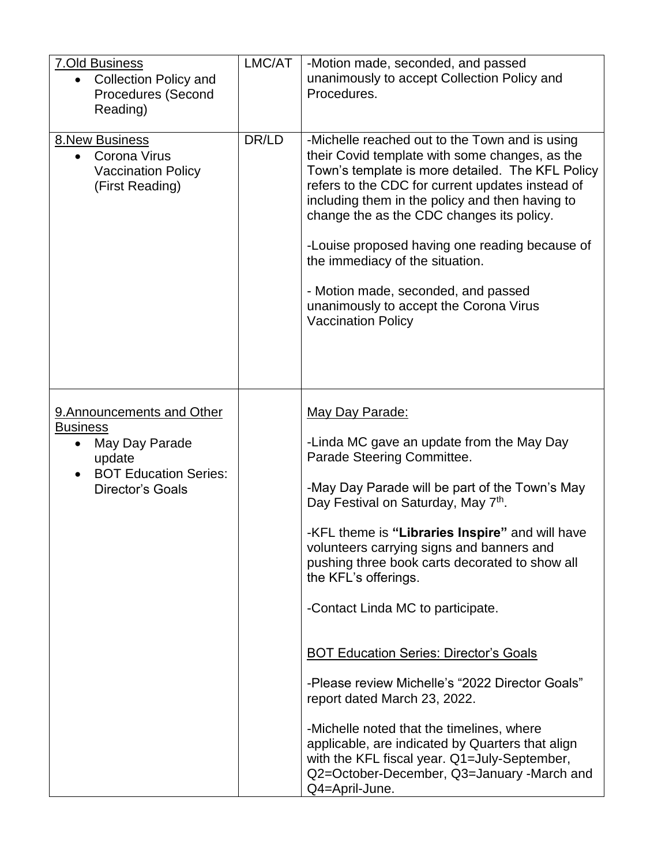| <b>7.Old Business</b><br><b>Collection Policy and</b><br><b>Procedures (Second</b><br>Reading)                                                    | LMC/AT | -Motion made, seconded, and passed<br>unanimously to accept Collection Policy and<br>Procedures.                                                                                                                                                                                                                                                                                                                                                                                                                                                                                                                                                                                                                                                                    |
|---------------------------------------------------------------------------------------------------------------------------------------------------|--------|---------------------------------------------------------------------------------------------------------------------------------------------------------------------------------------------------------------------------------------------------------------------------------------------------------------------------------------------------------------------------------------------------------------------------------------------------------------------------------------------------------------------------------------------------------------------------------------------------------------------------------------------------------------------------------------------------------------------------------------------------------------------|
| <b>8.New Business</b><br>• Corona Virus<br><b>Vaccination Policy</b><br>(First Reading)                                                           | DR/LD  | -Michelle reached out to the Town and is using<br>their Covid template with some changes, as the<br>Town's template is more detailed. The KFL Policy<br>refers to the CDC for current updates instead of<br>including them in the policy and then having to<br>change the as the CDC changes its policy.<br>-Louise proposed having one reading because of<br>the immediacy of the situation.<br>- Motion made, seconded, and passed<br>unanimously to accept the Corona Virus<br><b>Vaccination Policy</b>                                                                                                                                                                                                                                                         |
| 9. Announcements and Other<br><b>Business</b><br>May Day Parade<br>$\bullet$<br>update<br><b>BOT Education Series:</b><br><b>Director's Goals</b> |        | May Day Parade:<br>-Linda MC gave an update from the May Day<br>Parade Steering Committee.<br>-May Day Parade will be part of the Town's May<br>Day Festival on Saturday, May 7 <sup>th</sup> .<br>-KFL theme is "Libraries Inspire" and will have<br>volunteers carrying signs and banners and<br>pushing three book carts decorated to show all<br>the KFL's offerings.<br>-Contact Linda MC to participate.<br><b>BOT Education Series: Director's Goals</b><br>-Please review Michelle's "2022 Director Goals"<br>report dated March 23, 2022.<br>-Michelle noted that the timelines, where<br>applicable, are indicated by Quarters that align<br>with the KFL fiscal year. Q1=July-September,<br>Q2=October-December, Q3=January -March and<br>Q4=April-June. |